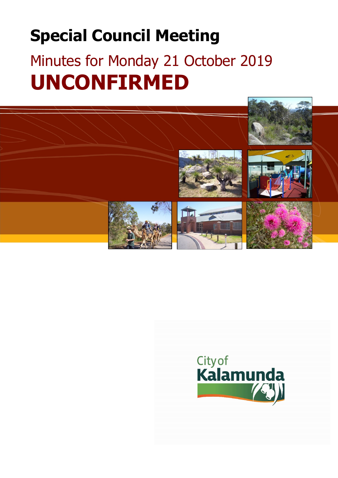# **Special Council Meeting**

# Minutes for Monday 21 October 2019 **UNCONFIRMED**



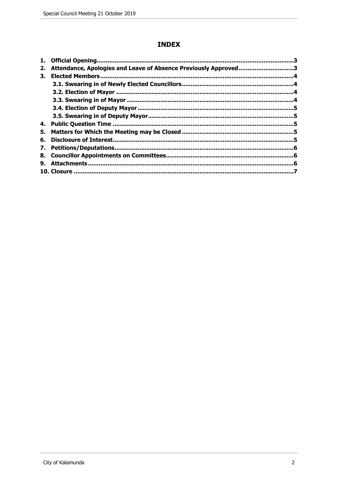# **INDEX**

| 1. |                                                                 |  |
|----|-----------------------------------------------------------------|--|
| 2. | Attendance, Apologies and Leave of Absence Previously Approved3 |  |
| З. | <b>Elected Members.</b>                                         |  |
|    |                                                                 |  |
|    |                                                                 |  |
|    |                                                                 |  |
|    |                                                                 |  |
|    |                                                                 |  |
| 4. |                                                                 |  |
| 5. |                                                                 |  |
| 6. |                                                                 |  |
| 7. |                                                                 |  |
|    |                                                                 |  |
| 9. |                                                                 |  |
|    |                                                                 |  |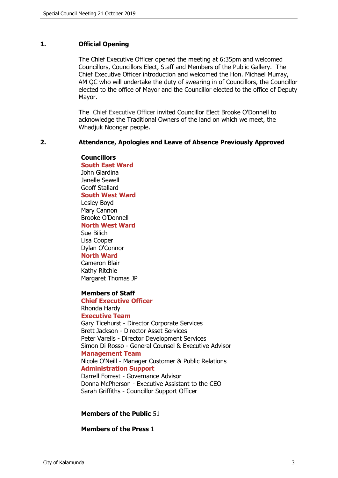# <span id="page-2-0"></span>**1. Official Opening**

The Chief Executive Officer opened the meeting at 6:35pm and welcomed Councillors, Councillors Elect, Staff and Members of the Public Gallery. The Chief Executive Officer introduction and welcomed the Hon. Michael Murray, AM QC who will undertake the duty of swearing in of Councillors, the Councillor elected to the office of Mayor and the Councillor elected to the office of Deputy Mayor.

The Chief Executive Officer invited Councillor Elect Brooke O'Donnell to acknowledge the Traditional Owners of the land on which we meet, the Whadjuk Noongar people.

#### <span id="page-2-1"></span>**2. Attendance, Apologies and Leave of Absence Previously Approved**

**Councillors South East Ward**  John Giardina

Janelle Sewell Geoff Stallard **South West Ward**

Lesley Boyd Mary Cannon Brooke O'Donnell **North West Ward**

Sue Bilich Lisa Cooper Dylan O'Connor

# **North Ward**

Cameron Blair Kathy Ritchie Margaret Thomas JP

#### **Members of Staff**

**Chief Executive Officer** Rhonda Hardy **Executive Team** Gary Ticehurst - Director Corporate Services Brett Jackson - Director Asset Services Peter Varelis - Director Development Services Simon Di Rosso - General Counsel & Executive Advisor **Management Team** Nicole O'Neill - Manager Customer & Public Relations **Administration Support** Darrell Forrest - Governance Advisor

Donna McPherson - Executive Assistant to the CEO Sarah Griffiths - Councillor Support Officer

#### **Members of the Public** 51

**Members of the Press** 1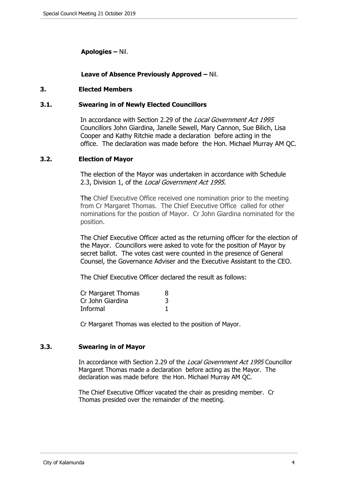# **Apologies –** Nil.

# **Leave of Absence Previously Approved –** Nil.

# <span id="page-3-0"></span>**3. Elected Members**

# <span id="page-3-1"></span>**3.1. Swearing in of Newly Elected Councillors**

In accordance with Section 2.29 of the *Local Government Act 1995* Councillors John Giardina, Janelle Sewell, Mary Cannon, Sue Bilich, Lisa Cooper and Kathy Ritchie made a declaration before acting in the office. The declaration was made before the Hon. Michael Murray AM QC.

# <span id="page-3-2"></span>**3.2. Election of Mayor**

The election of the Mayor was undertaken in accordance with Schedule 2.3, Division 1, of the *Local Government Act 1995.*

The Chief Executive Office received one nomination prior to the meeting from Cr Margaret Thomas. The Chief Executive Office called for other nominations for the postion of Mayor. Cr John Giardina nominated for the position.

The Chief Executive Officer acted as the returning officer for the election of the Mayor. Councillors were asked to vote for the position of Mayor by secret ballot. The votes cast were counted in the presence of General Counsel, the Governance Adviser and the Executive Assistant to the CEO.

The Chief Executive Officer declared the result as follows:

| Cr Margaret Thomas | 8 |
|--------------------|---|
| Cr John Giardina   | 3 |
| Informal           |   |

Cr Margaret Thomas was elected to the position of Mayor.

# <span id="page-3-3"></span>**3.3. Swearing in of Mayor**

In accordance with Section 2.29 of the *Local Government Act 1995* Councillor Margaret Thomas made a declaration before acting as the Mayor. The declaration was made before the Hon. Michael Murray AM QC.

The Chief Executive Officer vacated the chair as presiding member. Cr Thomas presided over the remainder of the meeting.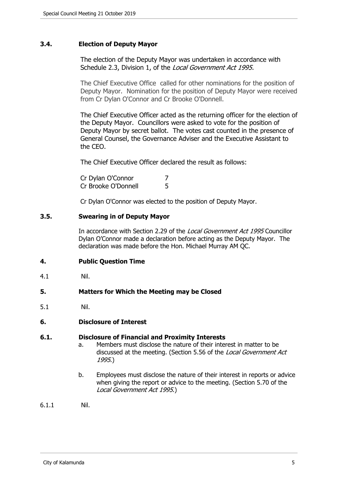# <span id="page-4-0"></span>**3.4. Election of Deputy Mayor**

The election of the Deputy Mayor was undertaken in accordance with Schedule 2.3, Division 1, of the *Local Government Act 1995.*

The Chief Executive Office called for other nominations for the position of Deputy Mayor. Nomination for the position of Deputy Mayor were received from Cr Dylan O'Connor and Cr Brooke O'Donnell.

The Chief Executive Officer acted as the returning officer for the election of the Deputy Mayor. Councillors were asked to vote for the position of Deputy Mayor by secret ballot. The votes cast counted in the presence of General Counsel, the Governance Adviser and the Executive Assistant to the CEO.

The Chief Executive Officer declared the result as follows:

| Cr Dylan O'Connor   |  |
|---------------------|--|
| Cr Brooke O'Donnell |  |

Cr Dylan O'Connor was elected to the position of Deputy Mayor.

#### <span id="page-4-1"></span>**3.5. Swearing in of Deputy Mayor**

In accordance with Section 2.29 of the *Local Government Act 1995* Councillor Dylan O'Connor made a declaration before acting as the Deputy Mayor. The declaration was made before the Hon. Michael Murray AM QC.

#### <span id="page-4-2"></span>**4. Public Question Time**

4.1 Nil.

# <span id="page-4-3"></span>**5. Matters for Which the Meeting may be Closed**

5.1 Nil.

# <span id="page-4-4"></span>**6. Disclosure of Interest**

#### **6.1. Disclosure of Financial and Proximity Interests**

- a. Members must disclose the nature of their interest in matter to be discussed at the meeting. (Section 5.56 of the *Local Government Act 1995*.)
- b. Employees must disclose the nature of their interest in reports or advice when giving the report or advice to the meeting. (Section 5.70 of the *Local Government Act 1995*.)

6.1.1 Nil.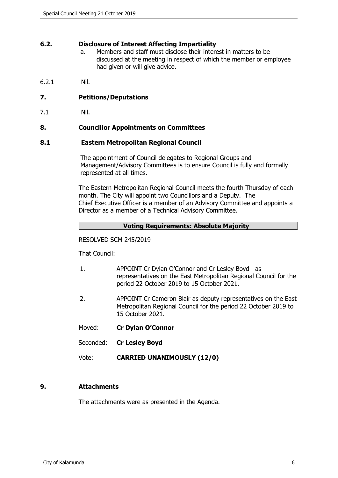# **6.2. Disclosure of Interest Affecting Impartiality**

- a. Members and staff must disclose their interest in matters to be discussed at the meeting in respect of which the member or employee had given or will give advice.
- 6.2.1 Nil.

# <span id="page-5-0"></span>**7. Petitions/Deputations**

7.1 Nil.

# <span id="page-5-1"></span>**8. Councillor Appointments on Committees**

#### **8.1 Eastern Metropolitan Regional Council**

The appointment of Council delegates to Regional Groups and Management/Advisory Committees is to ensure Council is fully and formally represented at all times.

The Eastern Metropolitan Regional Council meets the fourth Thursday of each month. The City will appoint two Councillors and a Deputy. The Chief Executive Officer is a member of an Advisory Committee and appoints a Director as a member of a Technical Advisory Committee.

# **Voting Requirements: Absolute Majority**

# RESOLVED SCM 245/2019

That Council:

- 1. APPOINT Cr Dylan O'Connor and Cr Lesley Boyd as representatives on the East Metropolitan Regional Council for the period 22 October 2019 to 15 October 2021.
- 2. APPOINT Cr Cameron Blair as deputy representatives on the East Metropolitan Regional Council for the period 22 October 2019 to 15 October 2021.
- Moved: **Cr Dylan O'Connor**
- Seconded: **Cr Lesley Boyd**
- Vote: **CARRIED UNANIMOUSLY (12/0)**

# <span id="page-5-2"></span>**9. Attachments**

The attachments were as presented in the Agenda.